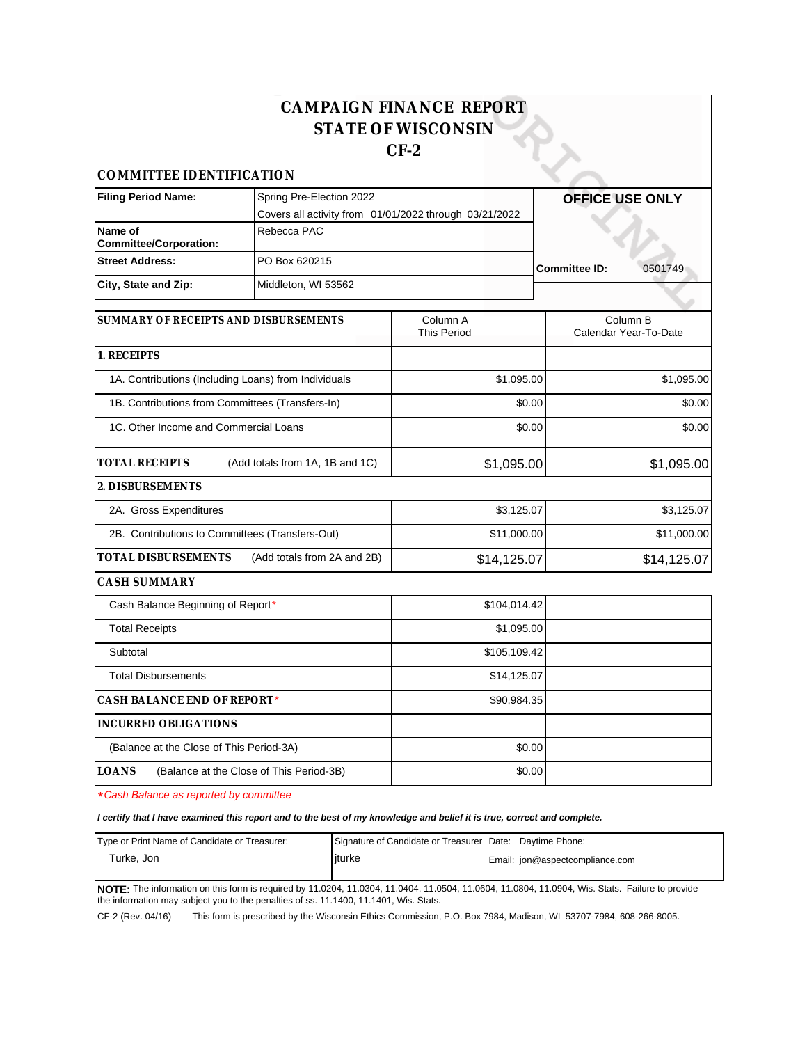| <b>CAMPAIGN FINANCE REPORT</b><br><b>STATE OF WISCONSIN</b><br>$CF-2$ |                                                                                    |                                |                                   |  |  |
|-----------------------------------------------------------------------|------------------------------------------------------------------------------------|--------------------------------|-----------------------------------|--|--|
| COMMITTEE IDENTIFICATION                                              |                                                                                    |                                |                                   |  |  |
| <b>Filing Period Name:</b>                                            | Spring Pre-Election 2022<br>Covers all activity from 01/01/2022 through 03/21/2022 |                                | <b>OFFICE USE ONLY</b>            |  |  |
| Name of<br><b>Committee/Corporation:</b>                              | Rebecca PAC                                                                        |                                |                                   |  |  |
| <b>Street Address:</b>                                                | PO Box 620215                                                                      |                                | <b>Committee ID:</b><br>0501749   |  |  |
| City, State and Zip:                                                  | Middleton, WI 53562                                                                |                                |                                   |  |  |
| SUMMARY OF RECEIPTS AND DISBURSEMENTS                                 |                                                                                    | Column A<br><b>This Period</b> | Column B<br>Calendar Year-To-Date |  |  |
| 1. RECEIPTS                                                           |                                                                                    |                                |                                   |  |  |
| 1A. Contributions (Including Loans) from Individuals                  |                                                                                    | \$1,095.00                     | \$1,095.00                        |  |  |
| 1B. Contributions from Committees (Transfers-In)                      |                                                                                    | \$0.00                         | \$0.00                            |  |  |
| 1C. Other Income and Commercial Loans                                 |                                                                                    | \$0.00                         | \$0.00                            |  |  |
| <b>TOTAL RECEIPTS</b>                                                 | (Add totals from 1A, 1B and 1C)                                                    | \$1,095.00                     | \$1,095.00                        |  |  |
| 2. DISBURSEMENTS                                                      |                                                                                    |                                |                                   |  |  |
| 2A. Gross Expenditures                                                |                                                                                    | \$3,125.07                     | \$3,125.07                        |  |  |
| 2B. Contributions to Committees (Transfers-Out)                       |                                                                                    | \$11,000.00                    | \$11,000.00                       |  |  |
| <b>TOTAL DISBURSEMENTS</b>                                            | (Add totals from 2A and 2B)                                                        | \$14,125.07                    | \$14,125.07                       |  |  |
| CASH SUMMARY                                                          |                                                                                    |                                |                                   |  |  |
| Cash Balance Beginning of Report*                                     |                                                                                    | \$104,014.42                   |                                   |  |  |
| <b>Total Receipts</b>                                                 |                                                                                    | \$1,095.00                     |                                   |  |  |
| Subtotal                                                              |                                                                                    | \$105,109.42                   |                                   |  |  |
| <b>Total Disbursements</b>                                            |                                                                                    | \$14,125.07                    |                                   |  |  |
| CASH BALANCE END OF REPORT*                                           |                                                                                    | \$90,984.35                    |                                   |  |  |
| <b>INCURRED OBLIGATIONS</b>                                           |                                                                                    |                                |                                   |  |  |
| (Balance at the Close of This Period-3A)                              |                                                                                    | \$0.00                         |                                   |  |  |

\*Cash Balance as reported by committee

**LOANS** (Balance at the Close of This Period-3B)

**I certify that I have examined this report and to the best of my knowledge and belief it is true, correct and complete.**

| Type or Print Name of Candidate or Treasurer: | Signature of Candidate or Treasurer Date: Daytime Phone: |                                 |
|-----------------------------------------------|----------------------------------------------------------|---------------------------------|
| Turke. Jon                                    | liturke                                                  | Email: jon@aspectcompliance.com |
|                                               |                                                          |                                 |

\$0.00

**NOTE:** The information on this form is required by 11.0204, 11.0304, 11.0404, 11.0504, 11.0604, 11.0804, 11.0904, Wis. Stats. Failure to provide the information may subject you to the penalties of ss. 11.1400, 11.1401, Wis. Stats.

CF-2 (Rev. 04/16) This form is prescribed by the Wisconsin Ethics Commission, P.O. Box 7984, Madison, WI 53707-7984, 608-266-8005.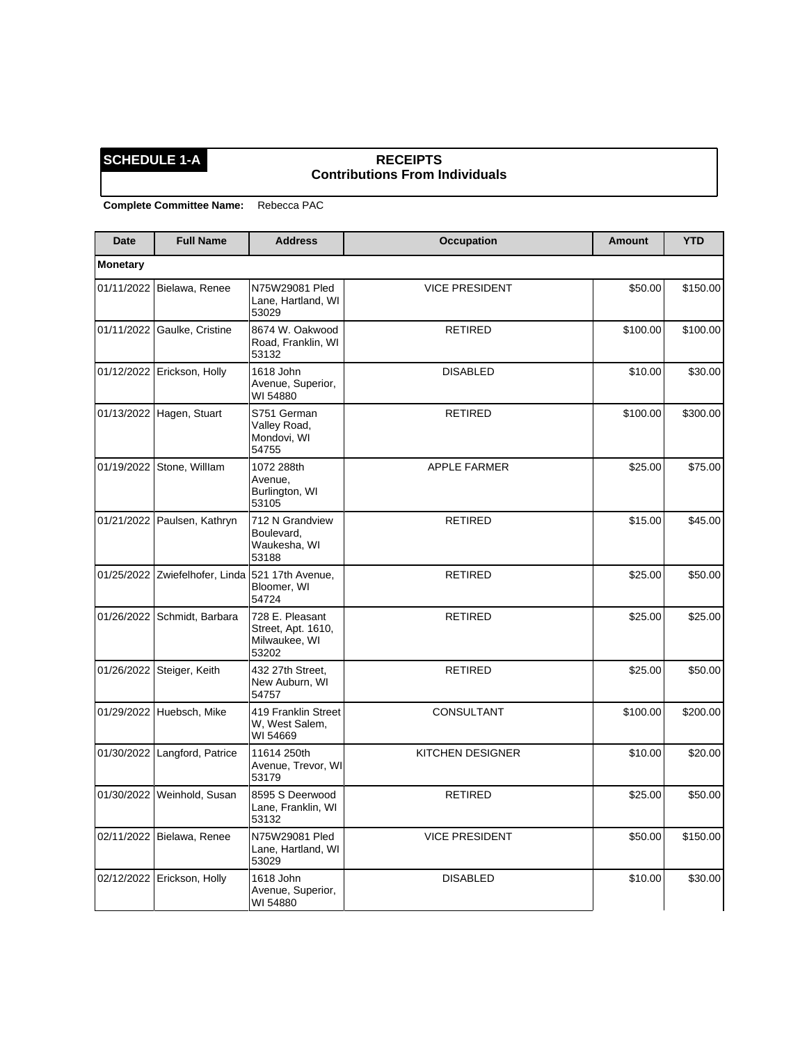### **SCHEDULE 1-A RECEIPTS Contributions From Individuals**

| Date            | <b>Full Name</b>                                | <b>Address</b>                                                  | <b>Occupation</b>     | <b>Amount</b> | <b>YTD</b> |
|-----------------|-------------------------------------------------|-----------------------------------------------------------------|-----------------------|---------------|------------|
| <b>Monetary</b> |                                                 |                                                                 |                       |               |            |
|                 | 01/11/2022   Bielawa, Renee                     | N75W29081 Pled<br>Lane, Hartland, WI<br>53029                   | <b>VICE PRESIDENT</b> | \$50.00       | \$150.00   |
|                 | 01/11/2022 Gaulke, Cristine                     | 8674 W. Oakwood<br>Road, Franklin, WI<br>53132                  | <b>RETIRED</b>        | \$100.00      | \$100.00   |
|                 | 01/12/2022   Erickson, Holly                    | 1618 John<br>Avenue, Superior,<br>WI 54880                      | <b>DISABLED</b>       | \$10.00       | \$30.00    |
|                 | 01/13/2022 Hagen, Stuart                        | S751 German<br>Valley Road,<br>Mondovi, WI<br>54755             | <b>RETIRED</b>        | \$100.00      | \$300.00   |
|                 | 01/19/2022 Stone, Willlam                       | 1072 288th<br>Avenue,<br>Burlington, WI<br>53105                | <b>APPLE FARMER</b>   | \$25.00       | \$75.00    |
|                 | 01/21/2022 Paulsen, Kathryn                     | 712 N Grandview<br>Boulevard,<br>Waukesha, WI<br>53188          | <b>RETIRED</b>        | \$15.00       | \$45.00    |
|                 | 01/25/2022 Zwiefelhofer, Linda 521 17th Avenue, | Bloomer, WI<br>54724                                            | <b>RETIRED</b>        | \$25.00       | \$50.00    |
|                 | 01/26/2022 Schmidt, Barbara                     | 728 E. Pleasant<br>Street, Apt. 1610,<br>Milwaukee, WI<br>53202 | <b>RETIRED</b>        | \$25.00       | \$25.00    |
| 01/26/2022      | Steiger, Keith                                  | 432 27th Street,<br>New Auburn, WI<br>54757                     | <b>RETIRED</b>        | \$25.00       | \$50.00    |
|                 | 01/29/2022 Huebsch, Mike                        | 419 Franklin Street<br>W, West Salem,<br>WI 54669               | CONSULTANT            | \$100.00      | \$200.00   |
|                 | 01/30/2022 Langford, Patrice                    | 11614 250th<br>Avenue, Trevor, WI<br>53179                      | KITCHEN DESIGNER      | \$10.00       | \$20.00    |
|                 | 01/30/2022   Weinhold, Susan                    | 8595 S Deerwood<br>Lane, Franklin, WI<br>53132                  | <b>RETIRED</b>        | \$25.00       | \$50.00    |
|                 | 02/11/2022 Bielawa, Renee                       | N75W29081 Pled<br>Lane, Hartland, WI<br>53029                   | <b>VICE PRESIDENT</b> | \$50.00       | \$150.00   |
|                 | 02/12/2022 Erickson, Holly                      | 1618 John<br>Avenue, Superior,<br>WI 54880                      | <b>DISABLED</b>       | \$10.00       | \$30.00    |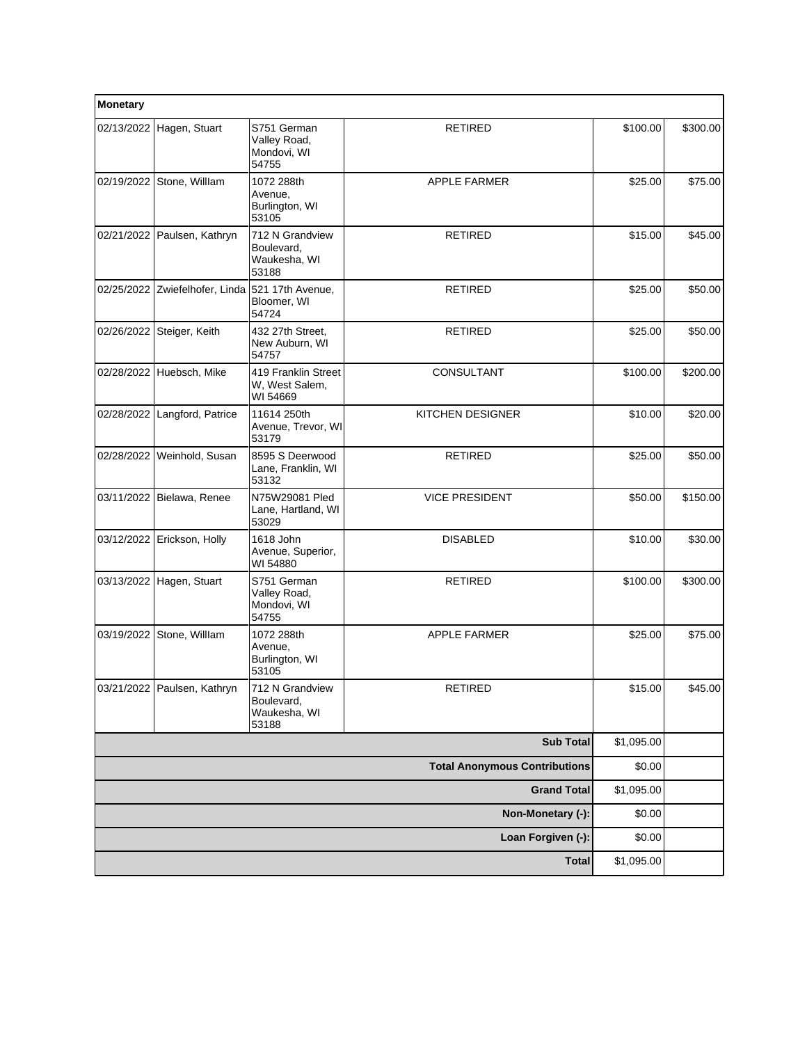| Monetary   |                                                 |                                                        |                                      |            |          |
|------------|-------------------------------------------------|--------------------------------------------------------|--------------------------------------|------------|----------|
|            | 02/13/2022 Hagen, Stuart                        | S751 German<br>Valley Road,<br>Mondovi, WI<br>54755    | <b>RETIRED</b>                       | \$100.00   | \$300.00 |
|            | 02/19/2022 Stone, Willlam                       | 1072 288th<br>Avenue,<br>Burlington, WI<br>53105       | <b>APPLE FARMER</b>                  | \$25.00    | \$75.00  |
|            | 02/21/2022 Paulsen, Kathryn                     | 712 N Grandview<br>Boulevard,<br>Waukesha, WI<br>53188 | <b>RETIRED</b>                       | \$15.00    | \$45.00  |
|            | 02/25/2022 Zwiefelhofer, Linda 521 17th Avenue, | Bloomer, WI<br>54724                                   | <b>RETIRED</b>                       | \$25.00    | \$50.00  |
| 02/26/2022 | Steiger, Keith                                  | 432 27th Street,<br>New Auburn, WI<br>54757            | <b>RETIRED</b>                       | \$25.00    | \$50.00  |
|            | 02/28/2022 Huebsch, Mike                        | 419 Franklin Street<br>W, West Salem,<br>WI 54669      | CONSULTANT                           | \$100.00   | \$200.00 |
| 02/28/2022 | Langford, Patrice                               | 11614 250th<br>Avenue, Trevor, WI<br>53179             | KITCHEN DESIGNER                     | \$10.00    | \$20.00  |
|            | 02/28/2022 Weinhold, Susan                      | 8595 S Deerwood<br>Lane, Franklin, WI<br>53132         | <b>RETIRED</b>                       | \$25.00    | \$50.00  |
|            | 03/11/2022 Bielawa, Renee                       | N75W29081 Pled<br>Lane, Hartland, WI<br>53029          | <b>VICE PRESIDENT</b>                | \$50.00    | \$150.00 |
|            | 03/12/2022 Erickson, Holly                      | 1618 John<br>Avenue, Superior,<br>WI 54880             | <b>DISABLED</b>                      | \$10.00    | \$30.00  |
|            | 03/13/2022 Hagen, Stuart                        | S751 German<br>Valley Road,<br>Mondovi, WI<br>54755    | <b>RETIRED</b>                       | \$100.00   | \$300.00 |
|            | 03/19/2022 Stone, Willlam                       | 1072 288th<br>Avenue,<br>Burlington, WI<br>53105       | <b>APPLE FARMER</b>                  | \$25.00    | \$75.00  |
|            | 03/21/2022   Paulsen, Kathryn                   | 712 N Grandview<br>Boulevard.<br>Waukesha, WI<br>53188 | RETIRED                              | \$15.00    | \$45.00  |
|            |                                                 |                                                        | <b>Sub Total</b>                     | \$1,095.00 |          |
|            |                                                 |                                                        | <b>Total Anonymous Contributions</b> | \$0.00     |          |
|            |                                                 |                                                        | <b>Grand Total</b>                   | \$1,095.00 |          |
|            |                                                 |                                                        | Non-Monetary (-):                    | \$0.00     |          |
|            |                                                 |                                                        | Loan Forgiven (-):                   | \$0.00     |          |
|            |                                                 |                                                        | <b>Total</b>                         | \$1,095.00 |          |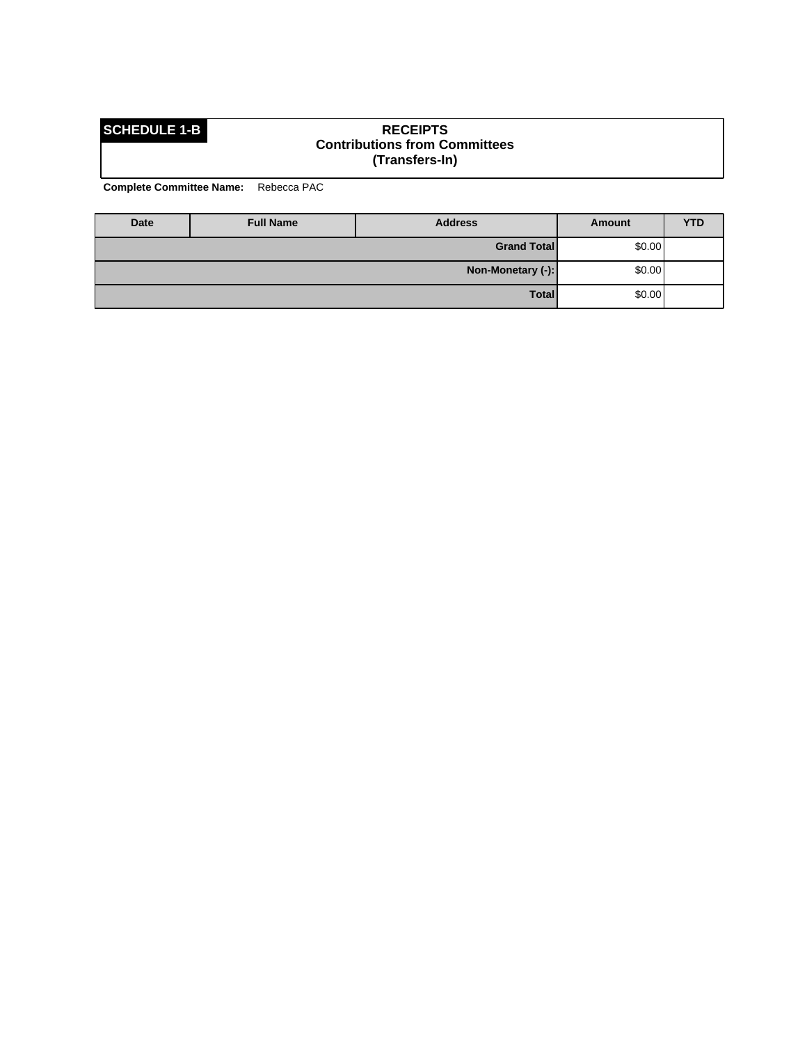### **SCHEDULE 1-B RECEIPTS Contributions from Committees (Transfers-In)**

| Date | <b>Full Name</b>            | <b>Address</b>     | Amount | <b>YTD</b> |
|------|-----------------------------|--------------------|--------|------------|
|      |                             | <b>Grand Total</b> | \$0.00 |            |
|      | \$0.00<br>Non-Monetary (-): |                    |        |            |
|      |                             | Total              | \$0.00 |            |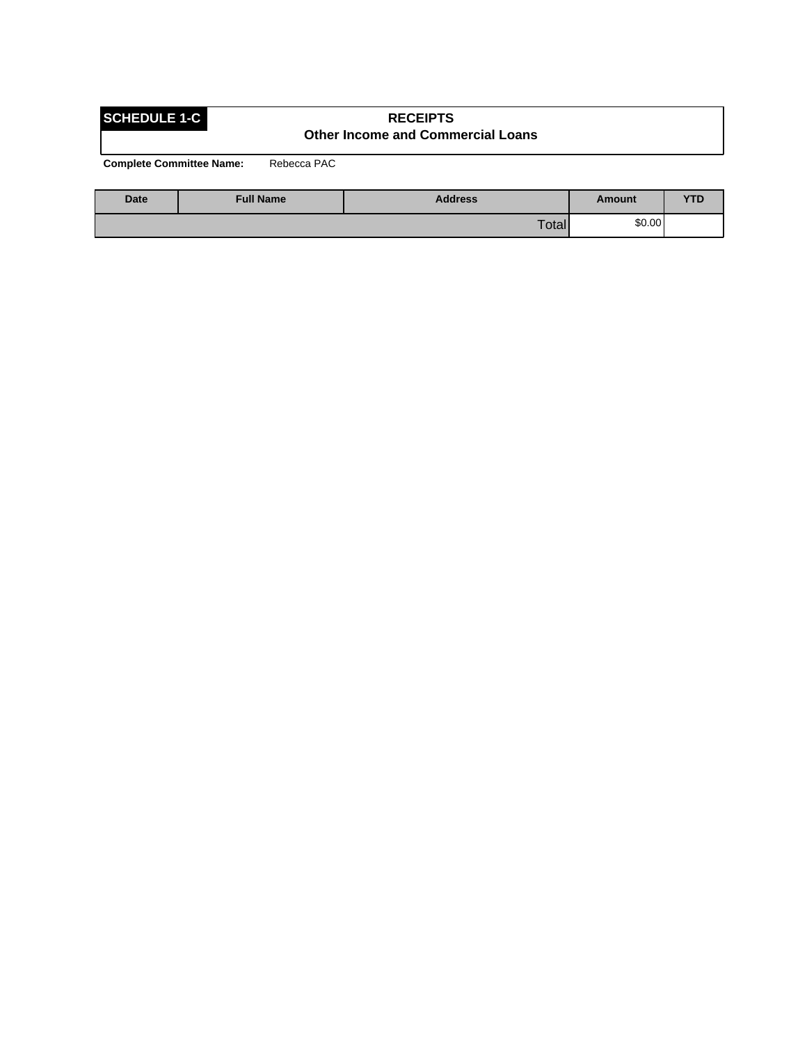## **SCHEDULE 1-C RECEIPTS Other Income and Commercial Loans**

| <b>Date</b> | <b>Full Name</b> | <b>Address</b> | Amount | VTP<br>1 L |
|-------------|------------------|----------------|--------|------------|
|             |                  | Total          | \$0.00 |            |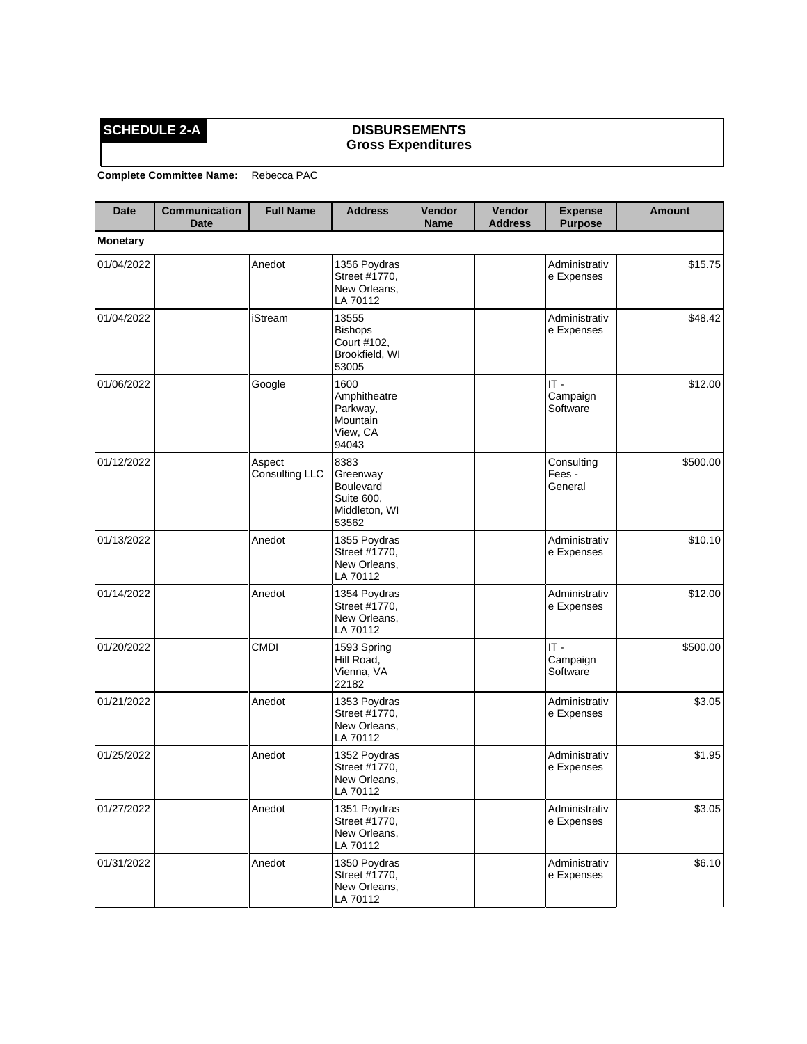## **SCHEDULE 2-A DISBURSEMENTS Gross Expenditures**

| <b>Date</b>     | <b>Communication</b><br><b>Date</b> | <b>Full Name</b>         | <b>Address</b>                                                        | Vendor<br><b>Name</b> | Vendor<br><b>Address</b> | <b>Expense</b><br><b>Purpose</b> | <b>Amount</b> |
|-----------------|-------------------------------------|--------------------------|-----------------------------------------------------------------------|-----------------------|--------------------------|----------------------------------|---------------|
| <b>Monetary</b> |                                     |                          |                                                                       |                       |                          |                                  |               |
| 01/04/2022      |                                     | Anedot                   | 1356 Poydras<br>Street #1770,<br>New Orleans,<br>LA 70112             |                       |                          | Administrativ<br>e Expenses      | \$15.75       |
| 01/04/2022      |                                     | iStream                  | 13555<br><b>Bishops</b><br>Court #102,<br>Brookfield, WI<br>53005     |                       |                          | Administrativ<br>e Expenses      | \$48.42       |
| 01/06/2022      |                                     | Google                   | 1600<br>Amphitheatre<br>Parkway,<br>Mountain<br>View, CA<br>94043     |                       |                          | $IT -$<br>Campaign<br>Software   | \$12.00       |
| 01/12/2022      |                                     | Aspect<br>Consulting LLC | 8383<br>Greenway<br>Boulevard<br>Suite 600,<br>Middleton, WI<br>53562 |                       |                          | Consulting<br>Fees -<br>General  | \$500.00      |
| 01/13/2022      |                                     | Anedot                   | 1355 Poydras<br>Street #1770,<br>New Orleans,<br>LA 70112             |                       |                          | Administrativ<br>e Expenses      | \$10.10       |
| 01/14/2022      |                                     | Anedot                   | 1354 Poydras<br>Street #1770,<br>New Orleans,<br>LA 70112             |                       |                          | Administrativ<br>e Expenses      | \$12.00       |
| 01/20/2022      |                                     | <b>CMDI</b>              | 1593 Spring<br>Hill Road,<br>Vienna, VA<br>22182                      |                       |                          | $IT -$<br>Campaign<br>Software   | \$500.00      |
| 01/21/2022      |                                     | Anedot                   | 1353 Poydras<br>Street #1770,<br>New Orleans,<br>LA 70112             |                       |                          | Administrativ<br>e Expenses      | \$3.05        |
| 01/25/2022      |                                     | Anedot                   | 1352 Poydras<br>Street #1770,<br>New Orleans,<br>LA 70112             |                       |                          | Administrativ<br>e Expenses      | \$1.95        |
| 01/27/2022      |                                     | Anedot                   | 1351 Poydras<br>Street #1770,<br>New Orleans,<br>LA 70112             |                       |                          | Administrativ<br>e Expenses      | \$3.05        |
| 01/31/2022      |                                     | Anedot                   | 1350 Poydras<br>Street #1770,<br>New Orleans,<br>LA 70112             |                       |                          | Administrativ<br>e Expenses      | \$6.10        |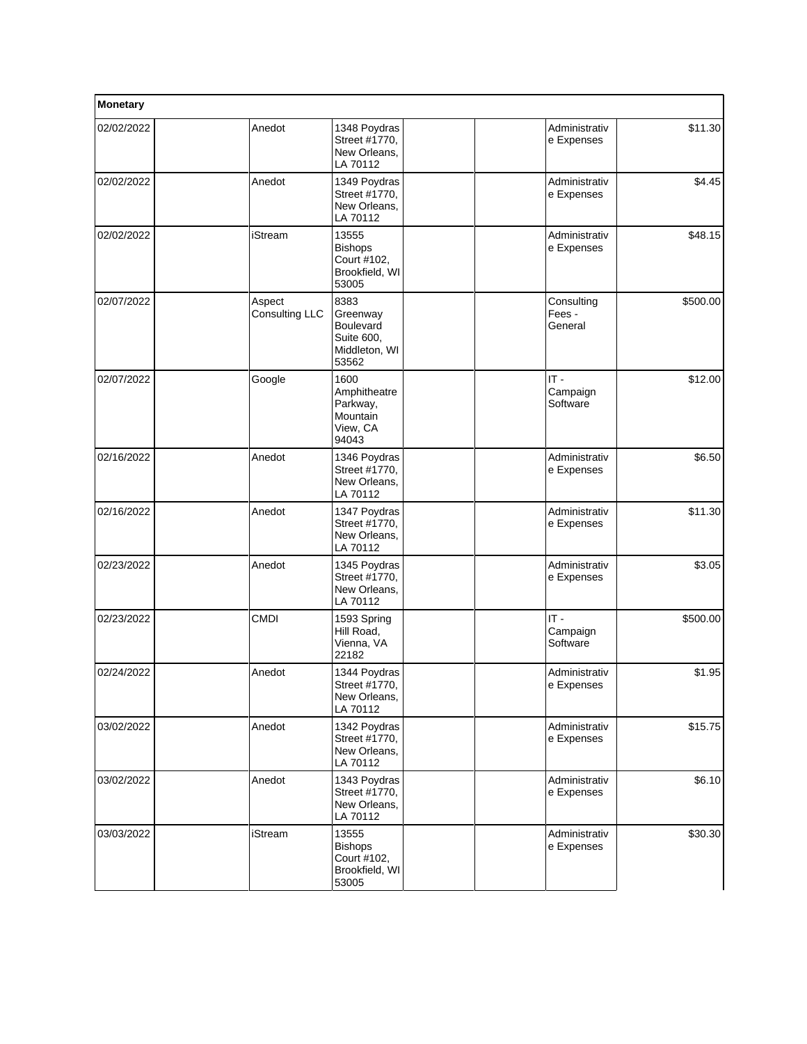| Monetary   |                          |                                                                       |  |                                 |          |
|------------|--------------------------|-----------------------------------------------------------------------|--|---------------------------------|----------|
| 02/02/2022 | Anedot                   | 1348 Poydras<br>Street #1770,<br>New Orleans,<br>LA 70112             |  | Administrativ<br>e Expenses     | \$11.30  |
| 02/02/2022 | Anedot                   | 1349 Poydras<br>Street #1770,<br>New Orleans,<br>LA 70112             |  | Administrativ<br>e Expenses     | \$4.45   |
| 02/02/2022 | iStream                  | 13555<br><b>Bishops</b><br>Court #102,<br>Brookfield, WI<br>53005     |  | Administrativ<br>e Expenses     | \$48.15  |
| 02/07/2022 | Aspect<br>Consulting LLC | 8383<br>Greenway<br>Boulevard<br>Suite 600,<br>Middleton, WI<br>53562 |  | Consulting<br>Fees -<br>General | \$500.00 |
| 02/07/2022 | Google                   | 1600<br>Amphitheatre<br>Parkway,<br>Mountain<br>View, CA<br>94043     |  | $IT -$<br>Campaign<br>Software  | \$12.00  |
| 02/16/2022 | Anedot                   | 1346 Poydras<br>Street #1770,<br>New Orleans,<br>LA 70112             |  | Administrativ<br>e Expenses     | \$6.50   |
| 02/16/2022 | Anedot                   | 1347 Poydras<br>Street #1770,<br>New Orleans,<br>LA 70112             |  | Administrativ<br>e Expenses     | \$11.30  |
| 02/23/2022 | Anedot                   | 1345 Poydras<br>Street #1770,<br>New Orleans,<br>LA 70112             |  | Administrativ<br>e Expenses     | \$3.05   |
| 02/23/2022 | <b>CMDI</b>              | 1593 Spring<br>Hill Road,<br>Vienna, VA<br>22182                      |  | $IT -$<br>Campaign<br>Software  | \$500.00 |
| 02/24/2022 | Anedot                   | 1344 Poydras<br>Street #1770,<br>New Orleans,<br>LA 70112             |  | Administrativ<br>e Expenses     | \$1.95   |
| 03/02/2022 | Anedot                   | 1342 Poydras<br>Street #1770,<br>New Orleans,<br>LA 70112             |  | Administrativ<br>e Expenses     | \$15.75  |
| 03/02/2022 | Anedot                   | 1343 Poydras<br>Street #1770,<br>New Orleans,<br>LA 70112             |  | Administrativ<br>e Expenses     | \$6.10   |
| 03/03/2022 | iStream                  | 13555<br><b>Bishops</b><br>Court #102,<br>Brookfield, WI<br>53005     |  | Administrativ<br>e Expenses     | \$30.30  |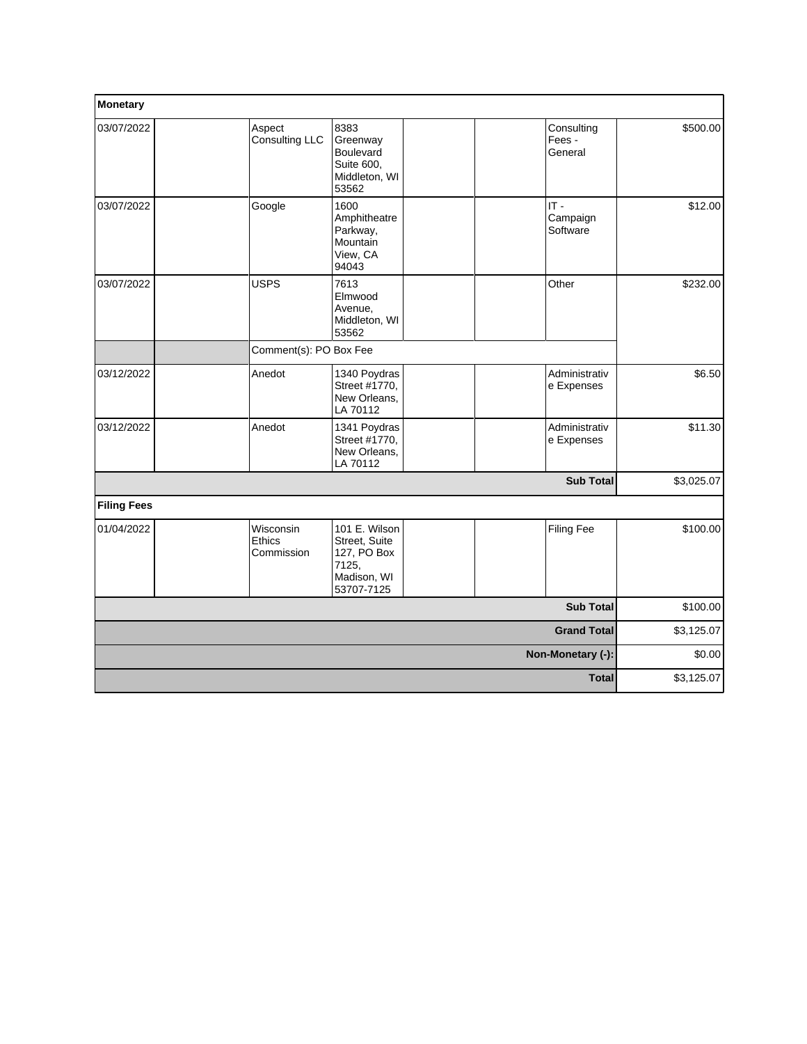| Monetary           |                                   |                                                                                     |  |                                 |            |
|--------------------|-----------------------------------|-------------------------------------------------------------------------------------|--|---------------------------------|------------|
| 03/07/2022         | Aspect<br>Consulting LLC          | 8383<br>Greenway<br>Boulevard<br>Suite 600,<br>Middleton, WI<br>53562               |  | Consulting<br>Fees -<br>General | \$500.00   |
| 03/07/2022         | Google                            | 1600<br>Amphitheatre<br>Parkway,<br>Mountain<br>View, CA<br>94043                   |  | $IT -$<br>Campaign<br>Software  | \$12.00    |
| 03/07/2022         | <b>USPS</b>                       | 7613<br>Elmwood<br>Avenue,<br>Middleton, WI<br>53562                                |  | Other                           | \$232.00   |
|                    | Comment(s): PO Box Fee            |                                                                                     |  |                                 |            |
| 03/12/2022         | Anedot                            | 1340 Poydras<br>Street #1770,<br>New Orleans,<br>LA 70112                           |  | Administrativ<br>e Expenses     | \$6.50     |
| 03/12/2022         | Anedot                            | 1341 Poydras<br>Street #1770,<br>New Orleans.<br>LA 70112                           |  | Administrativ<br>e Expenses     | \$11.30    |
|                    |                                   |                                                                                     |  | <b>Sub Total</b>                | \$3,025.07 |
| <b>Filing Fees</b> |                                   |                                                                                     |  |                                 |            |
| 01/04/2022         | Wisconsin<br>Ethics<br>Commission | 101 E. Wilson<br>Street, Suite<br>127, PO Box<br>7125,<br>Madison, WI<br>53707-7125 |  | <b>Filing Fee</b>               | \$100.00   |
|                    |                                   |                                                                                     |  | <b>Sub Total</b>                | \$100.00   |
| <b>Grand Total</b> |                                   |                                                                                     |  |                                 | \$3,125.07 |
| Non-Monetary (-):  |                                   |                                                                                     |  |                                 | \$0.00     |
|                    |                                   |                                                                                     |  | <b>Total</b>                    | \$3,125.07 |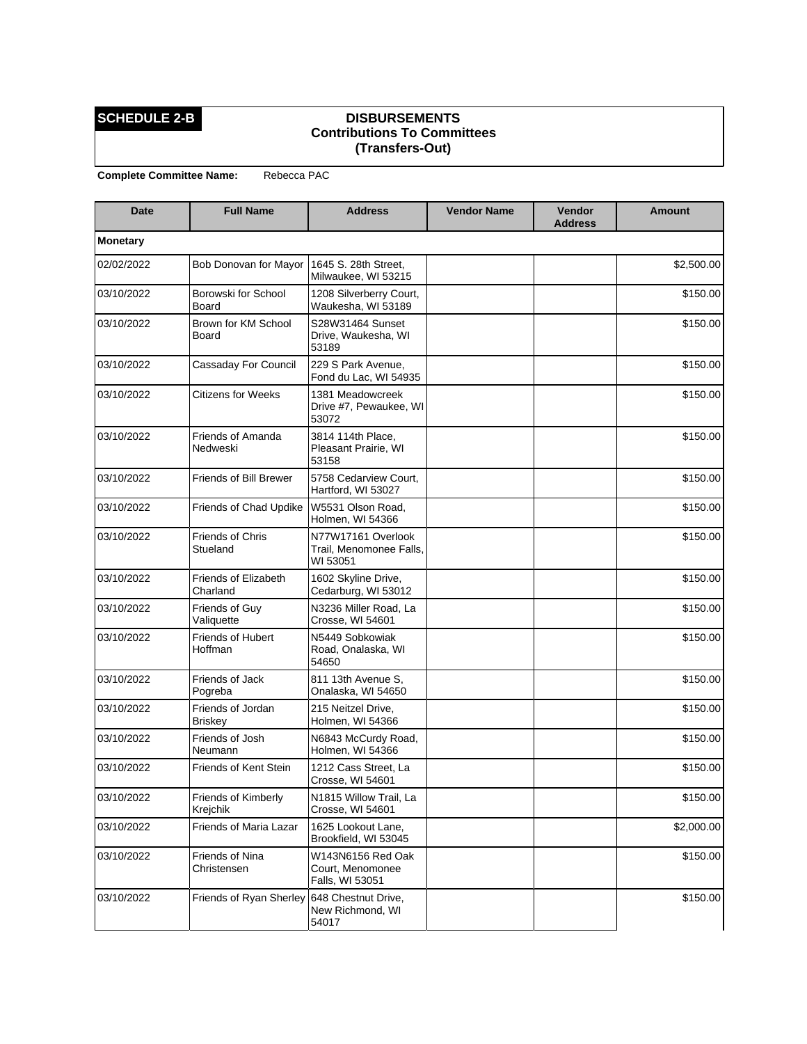### **SCHEDULE 2-B DISBURSEMENTS Contributions To Committees (Transfers-Out)**

| Date            | <b>Full Name</b>                    | <b>Address</b>                                            | <b>Vendor Name</b> | Vendor<br><b>Address</b> | <b>Amount</b> |
|-----------------|-------------------------------------|-----------------------------------------------------------|--------------------|--------------------------|---------------|
| <b>Monetary</b> |                                     |                                                           |                    |                          |               |
| 02/02/2022      | Bob Donovan for Mayor               | 1645 S. 28th Street,<br>Milwaukee, WI 53215               |                    |                          | \$2,500.00    |
| 03/10/2022      | Borowski for School<br>Board        | 1208 Silverberry Court,<br>Waukesha, WI 53189             |                    |                          | \$150.00      |
| 03/10/2022      | Brown for KM School<br>Board        | S28W31464 Sunset<br>Drive, Waukesha, WI<br>53189          |                    |                          | \$150.00      |
| 03/10/2022      | Cassaday For Council                | 229 S Park Avenue,<br>Fond du Lac, WI 54935               |                    |                          | \$150.00      |
| 03/10/2022      | <b>Citizens for Weeks</b>           | 1381 Meadowcreek<br>Drive #7, Pewaukee, WI<br>53072       |                    |                          | \$150.00      |
| 03/10/2022      | Friends of Amanda<br>Nedweski       | 3814 114th Place,<br>Pleasant Prairie, WI<br>53158        |                    |                          | \$150.00      |
| 03/10/2022      | Friends of Bill Brewer              | 5758 Cedarview Court,<br>Hartford, WI 53027               |                    |                          | \$150.00      |
| 03/10/2022      | <b>Friends of Chad Updike</b>       | W5531 Olson Road,<br>Holmen, WI 54366                     |                    |                          | \$150.00      |
| 03/10/2022      | <b>Friends of Chris</b><br>Stueland | N77W17161 Overlook<br>Trail, Menomonee Falls,<br>WI 53051 |                    |                          | \$150.00      |
| 03/10/2022      | Friends of Elizabeth<br>Charland    | 1602 Skyline Drive,<br>Cedarburg, WI 53012                |                    |                          | \$150.00      |
| 03/10/2022      | Friends of Guy<br>Valiquette        | N3236 Miller Road, La<br>Crosse, WI 54601                 |                    |                          | \$150.00      |
| 03/10/2022      | <b>Friends of Hubert</b><br>Hoffman | N5449 Sobkowiak<br>Road, Onalaska, WI<br>54650            |                    |                          | \$150.00      |
| 03/10/2022      | Friends of Jack<br>Pogreba          | 811 13th Avenue S,<br>Onalaska, WI 54650                  |                    |                          | \$150.00      |
| 03/10/2022      | Friends of Jordan<br>Briskey        | 215 Neitzel Drive,<br>Holmen, WI 54366                    |                    |                          | \$150.00      |
| 03/10/2022      | Friends of Josh<br>Neumann          | N6843 McCurdy Road,<br>Holmen, WI 54366                   |                    |                          | \$150.00      |
| 03/10/2022      | Friends of Kent Stein               | 1212 Cass Street, La<br>Crosse, WI 54601                  |                    |                          | \$150.00      |
| 03/10/2022      | Friends of Kimberly<br>Krejchik     | N1815 Willow Trail, La<br>Crosse, WI 54601                |                    |                          | \$150.00      |
| 03/10/2022      | Friends of Maria Lazar              | 1625 Lookout Lane.<br>Brookfield, WI 53045                |                    |                          | \$2,000.00    |
| 03/10/2022      | Friends of Nina<br>Christensen      | W143N6156 Red Oak<br>Court, Menomonee<br>Falls, WI 53051  |                    |                          | \$150.00      |
| 03/10/2022      | Friends of Ryan Sherley             | 648 Chestnut Drive,<br>New Richmond, WI<br>54017          |                    |                          | \$150.00      |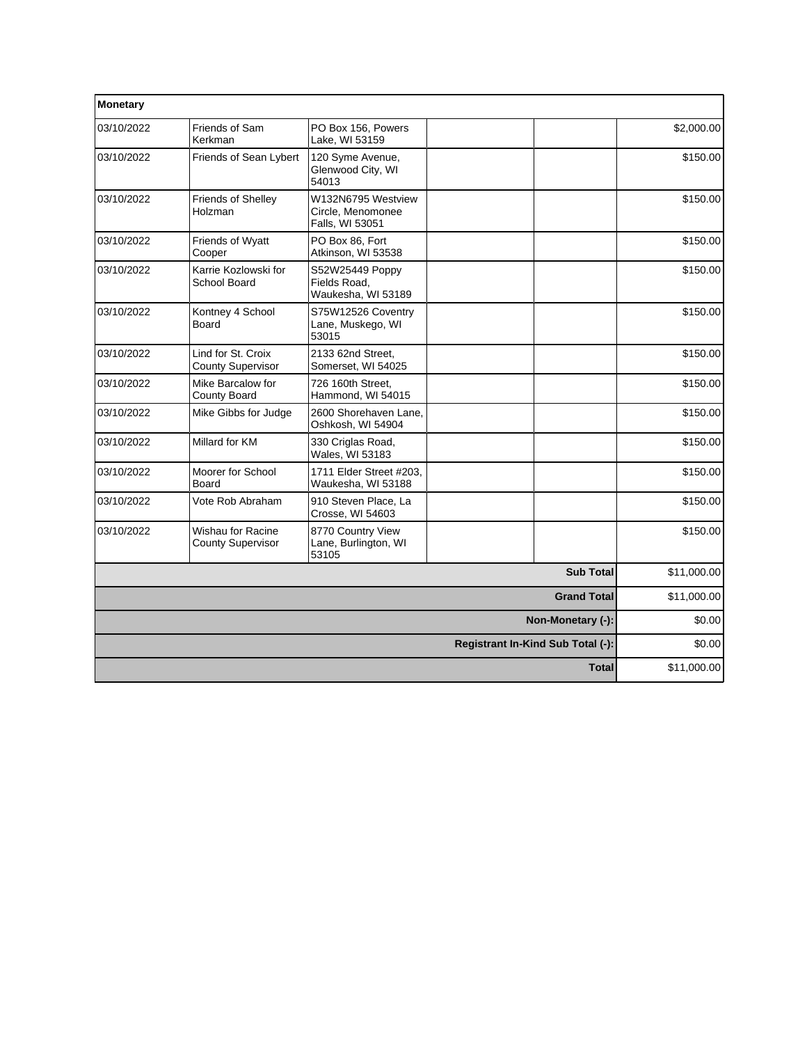| Monetary           |                                                |                                                            |  |                                   |             |
|--------------------|------------------------------------------------|------------------------------------------------------------|--|-----------------------------------|-------------|
| 03/10/2022         | Friends of Sam<br>Kerkman                      | PO Box 156, Powers<br>Lake, WI 53159                       |  |                                   | \$2,000.00  |
| 03/10/2022         | Friends of Sean Lybert                         | 120 Syme Avenue,<br>Glenwood City, WI<br>54013             |  |                                   | \$150.00    |
| 03/10/2022         | Friends of Shelley<br>Holzman                  | W132N6795 Westview<br>Circle, Menomonee<br>Falls, WI 53051 |  |                                   | \$150.00    |
| 03/10/2022         | Friends of Wyatt<br>Cooper                     | PO Box 86. Fort<br>Atkinson, WI 53538                      |  |                                   | \$150.00    |
| 03/10/2022         | Karrie Kozlowski for<br>School Board           | S52W25449 Poppy<br>Fields Road,<br>Waukesha, WI 53189      |  |                                   | \$150.00    |
| 03/10/2022         | Kontney 4 School<br>Board                      | S75W12526 Coventry<br>Lane, Muskego, WI<br>53015           |  |                                   | \$150.00    |
| 03/10/2022         | Lind for St. Croix<br><b>County Supervisor</b> | 2133 62nd Street,<br>Somerset, WI 54025                    |  |                                   | \$150.00    |
| 03/10/2022         | Mike Barcalow for<br><b>County Board</b>       | 726 160th Street.<br>Hammond. WI 54015                     |  |                                   | \$150.00    |
| 03/10/2022         | Mike Gibbs for Judge                           | 2600 Shorehaven Lane.<br>Oshkosh, WI 54904                 |  |                                   | \$150.00    |
| 03/10/2022         | Millard for KM                                 | 330 Criglas Road,<br>Wales, WI 53183                       |  |                                   | \$150.00    |
| 03/10/2022         | Moorer for School<br><b>Board</b>              | 1711 Elder Street #203,<br>Waukesha, WI 53188              |  |                                   | \$150.00    |
| 03/10/2022         | Vote Rob Abraham                               | 910 Steven Place, La<br>Crosse, WI 54603                   |  |                                   | \$150.00    |
| 03/10/2022         | Wishau for Racine<br><b>County Supervisor</b>  | 8770 Country View<br>Lane, Burlington, WI<br>53105         |  |                                   | \$150.00    |
|                    |                                                |                                                            |  | <b>Sub Total</b>                  | \$11,000.00 |
| <b>Grand Total</b> |                                                |                                                            |  |                                   | \$11,000.00 |
|                    | Non-Monetary (-):                              |                                                            |  |                                   | \$0.00      |
|                    |                                                |                                                            |  | Registrant In-Kind Sub Total (-): | \$0.00      |
|                    |                                                |                                                            |  | <b>Total</b>                      | \$11,000.00 |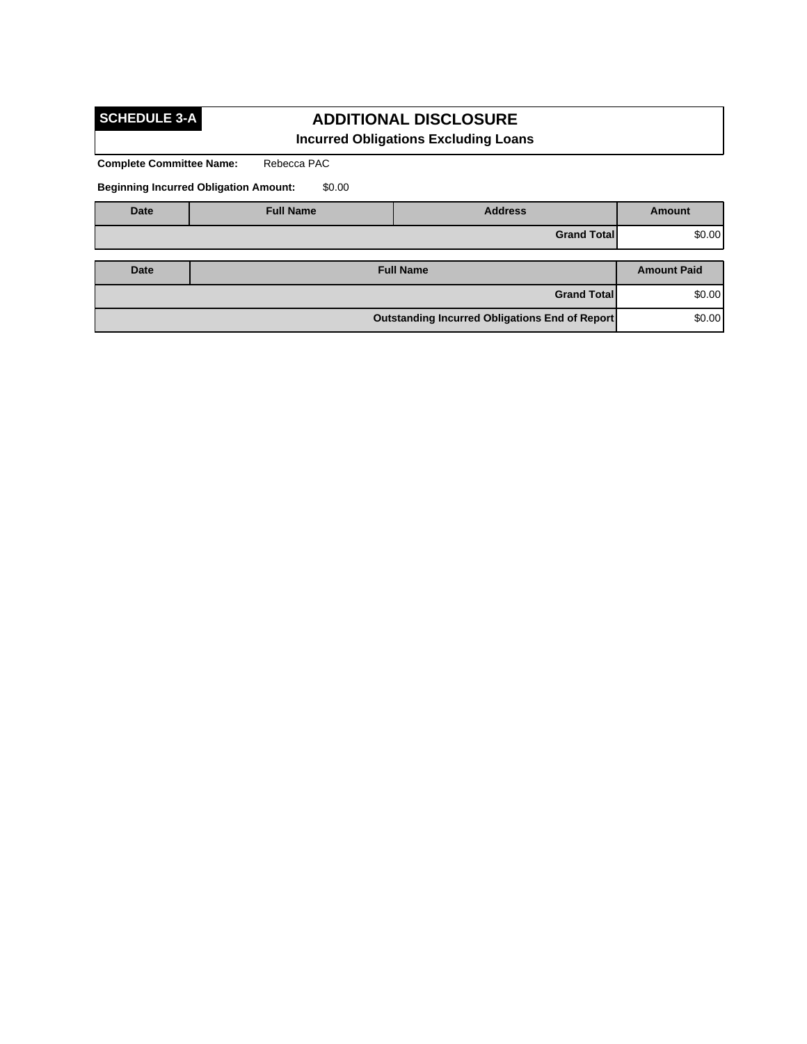# **SCHEDULE 3-A**

## **ADDITIONAL DISCLOSURE Incurred Obligations Excluding Loans**

**Complete Committee Name:** Rebecca PAC

**Beginning Incurred Obligation Amount:** \$0.00

| <b>Date</b> | <b>Full Name</b>                                         | <b>Address</b>     | <b>Amount</b>      |
|-------------|----------------------------------------------------------|--------------------|--------------------|
|             |                                                          | <b>Grand Total</b> | \$0.00             |
|             |                                                          |                    |                    |
| Date        |                                                          | <b>Full Name</b>   | <b>Amount Paid</b> |
|             |                                                          | <b>Grand Total</b> | \$0.00             |
|             | \$0.00<br>Outstanding Incurred Obligations End of Report |                    |                    |